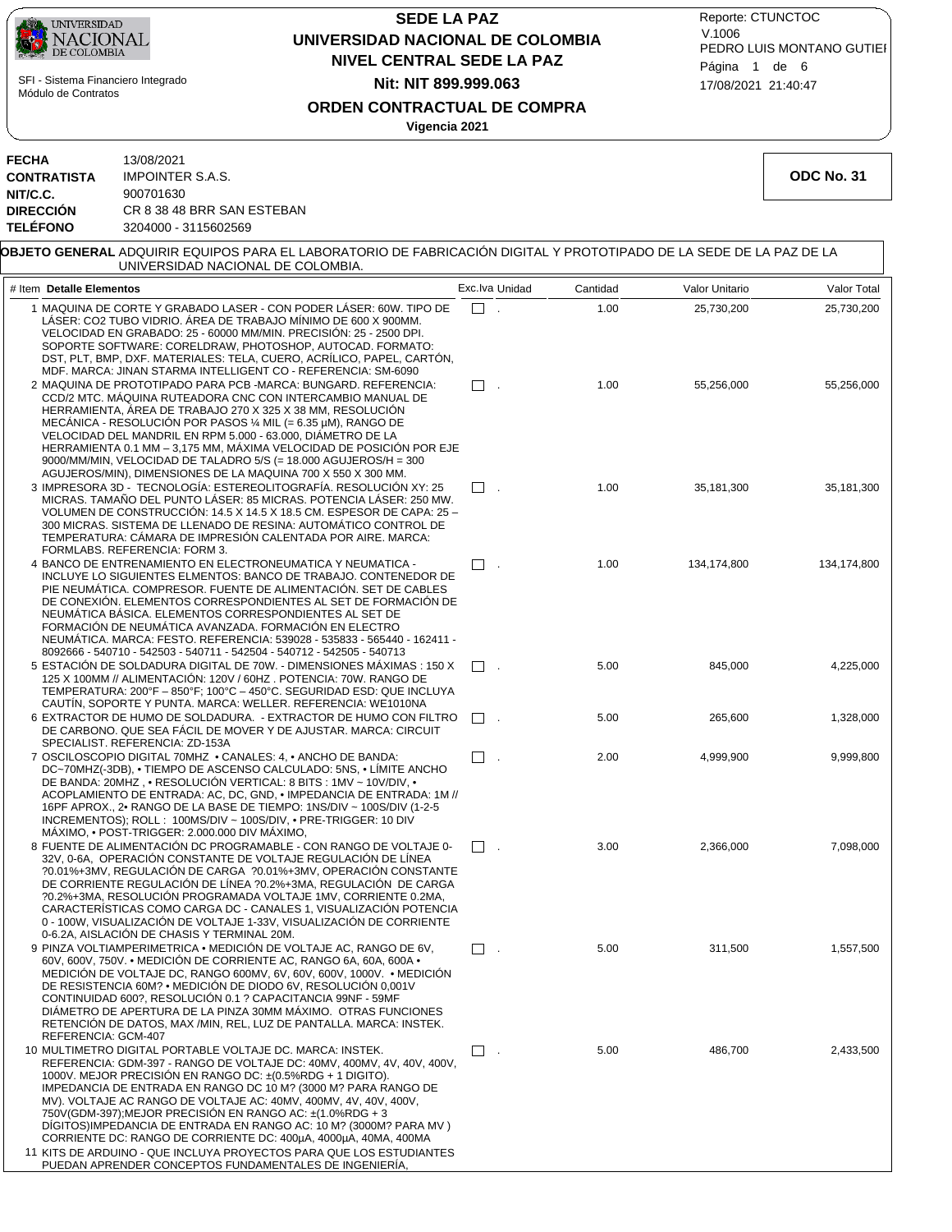

## **NIVEL CENTRAL SEDE LA PAZ SEDE LA PAZ UNIVERSIDAD NACIONAL DE COLOMBIA Nit: NIT 899.999.063**

17/08/2021 21:40:47 PEDRO LUIS MONTANO GUTIEI Reporte: CTUNCTOC V.1006 Página 1 de 6

### **ORDEN CONTRACTUAL DE COMPRA**

**Vigencia 2021**

| <b>FECHA</b>       | 13/08/2021                 |
|--------------------|----------------------------|
| <b>CONTRATISTA</b> | <b>IMPOINTER S.A.S.</b>    |
| NIT/C.C.           | 900701630                  |
| <b>DIRECCIÓN</b>   | CR 8 38 48 BRR SAN ESTEBAN |
| <b>TELÉFONO</b>    | 3204000 - 3115602569       |

11 KITS DE ARDUINO - QUE INCLUYA PROYECTOS PARA QUE LOS ESTUDIANTES PUEDAN APRENDER CONCEPTOS FUNDAMENTALES DE INGENIERÍA,

**ODC No. 31**

| <b>OBJETO GENERAL</b> ADQUIRIR EQUIPOS PARA EL LABORATORIO DE FABRICACIÓN DIGITAL Y PROTOTIPADO DE LA SEDE DE LA PAZ DE LA<br>UNIVERSIDAD NACIONAL DE COLOMBIA.                                                                                                                                                                                                                                                                                                                                                                                  |                |          |                |             |
|--------------------------------------------------------------------------------------------------------------------------------------------------------------------------------------------------------------------------------------------------------------------------------------------------------------------------------------------------------------------------------------------------------------------------------------------------------------------------------------------------------------------------------------------------|----------------|----------|----------------|-------------|
| # Item Detalle Elementos                                                                                                                                                                                                                                                                                                                                                                                                                                                                                                                         | Exc.lva Unidad | Cantidad | Valor Unitario | Valor Total |
| 1 MAQUINA DE CORTE Y GRABADO LASER - CON PODER LASER: 60W. TIPO DE<br>LÁSER: CO2 TUBO VIDRIO. ÁREA DE TRABAJO MÍNIMO DE 600 X 900MM.<br>VELOCIDAD EN GRABADO: 25 - 60000 MM/MIN. PRECISIÓN: 25 - 2500 DPI.<br>SOPORTE SOFTWARE: CORELDRAW, PHOTOSHOP, AUTOCAD. FORMATO:<br>DST, PLT, BMP, DXF. MATERIALES: TELA, CUERO, ACRÍLICO, PAPEL, CARTÓN,<br>MDF. MARCA: JINAN STARMA INTELLIGENT CO - REFERENCIA: SM-6090                                                                                                                                | П.             | 1.00     | 25,730,200     | 25,730,200  |
| 2 MAQUINA DE PROTOTIPADO PARA PCB - MARCA: BUNGARD. REFERENCIA:<br>CCD/2 MTC. MÁQUINA RUTEADORA CNC CON INTERCAMBIO MANUAL DE<br>HERRAMIENTA, ÁREA DE TRABAJO 270 X 325 X 38 MM, RESOLUCIÓN<br>MECÁNICA - RESOLUCIÓN POR PASOS $\frac{1}{4}$ MIL (= 6.35 µM), RANGO DE<br>VELOCIDAD DEL MANDRIL EN RPM 5.000 - 63.000, DIAMETRO DE LA<br>HERRAMIENTA 0.1 MM - 3,175 MM, MÁXIMA VELOCIDAD DE POSICIÓN POR EJE<br>9000/MM/MIN, VELOCIDAD DE TALADRO 5/S (= 18.000 AGUJEROS/H = 300<br>AGUJEROS/MIN), DIMENSIONES DE LA MAQUINA 700 X 550 X 300 MM. | $\Box$ .       | 1.00     | 55.256.000     | 55,256,000  |
| 3 IMPRESORA 3D - TECNOLOGÍA: ESTEREOLITOGRAFÍA. RESOLUCIÓN XY: 25<br>MICRAS. TAMAÑO DEL PUNTO LÁSER: 85 MICRAS. POTENCIA LÁSER: 250 MW.<br>VOLUMEN DE CONSTRUCCION: 14.5 X 14.5 X 18.5 CM. ESPESOR DE CAPA: 25 -<br>300 MICRAS. SISTEMA DE LLENADO DE RESINA: AUTOMATICO CONTROL DE<br>TEMPERATURA: CAMARA DE IMPRESION CALENTADA POR AIRE. MARCA:<br>FORMLABS. REFERENCIA: FORM 3.                                                                                                                                                              | $\Box$ .       | 1.00     | 35,181,300     | 35,181,300  |
| 4 BANCO DE ENTRENAMIENTO EN ELECTRONEUMATICA Y NEUMATICA -<br>INCLUYE LO SIGUIENTES ELMENTOS: BANCO DE TRABAJO. CONTENEDOR DE<br>PIE NEUMÁTICA. COMPRESOR. FUENTE DE ALIMENTACIÓN. SET DE CABLES<br>DE CONEXIÓN. ELEMENTOS CORRESPONDIENTES AL SET DE FORMACIÓN DE<br>NEUMÁTICA BÁSICA. ELEMENTOS CORRESPONDIENTES AL SET DE<br>FORMACIÓN DE NEUMÁTICA AVANZADA. FORMACIÓN EN ELECTRO<br>NEUMATICA. MARCA: FESTO. REFERENCIA: 539028 - 535833 - 565440 - 162411 -<br>8092666 - 540710 - 542503 - 540711 - 542504 - 540712 - 542505 - 540713      | $\square$ .    | 1.00     | 134,174,800    | 134,174,800 |
| 5 ESTACIÓN DE SOLDADURA DIGITAL DE 70W. - DIMENSIONES MÁXIMAS : 150 X<br>125 X 100MM // ALIMENTACION: 120V / 60HZ . POTENCIA: 70W. RANGO DE<br>TEMPERATURA: 200°F - 850°F; 100°C - 450°C. SEGURIDAD ESD: QUE INCLUYA<br>CAUTIN, SOPORTE Y PUNTA. MARCA: WELLER. REFERENCIA: WE1010NA                                                                                                                                                                                                                                                             | $\Box$ .       | 5.00     | 845.000        | 4,225,000   |
| 6 EXTRACTOR DE HUMO DE SOLDADURA. - EXTRACTOR DE HUMO CON FILTRO<br>DE CARBONO. QUE SEA FÁCIL DE MOVER Y DE AJUSTAR. MARCA: CIRCUIT<br>SPECIALIST. REFERENCIA: ZD-153A                                                                                                                                                                                                                                                                                                                                                                           | $\Box$ .       | 5.00     | 265,600        | 1,328,000   |
| 7 OSCILOSCOPIO DIGITAL 70MHZ . CANALES: 4, . ANCHO DE BANDA:<br>DC~70MHZ(-3DB), • TIEMPO DE ASCENSO CALCULADO: 5NS, • LIMITE ANCHO<br>DE BANDA: 20MHZ, • RESOLUCION VERTICAL: 8 BITS : 1MV ~ 10V/DIV, •<br>ACOPLAMIENTO DE ENTRADA: AC, DC, GND, • IMPEDANCIA DE ENTRADA: 1M //<br>16PF APROX., 2. RANGO DE LA BASE DE TIEMPO: 1NS/DIV ~ 100S/DIV (1-2-5)<br>INCREMENTOS); ROLL : 100MS/DIV ~ 100S/DIV, • PRE-TRIGGER: 10 DIV<br>MÁXIMO, . POST-TRIGGER: 2.000.000 DIV MÁXIMO,                                                                   | $\square$ .    | 2.00     | 4,999,900      | 9,999,800   |
| 8 FUENTE DE ALIMENTACIÓN DC PROGRAMABLE - CON RANGO DE VOLTAJE 0-<br>32V. 0-6A. OPERACIÓN CONSTANTE DE VOLTAJE REGULACIÓN DE LÍNEA<br>?0.01%+3MV, REGULACIÓN DE CARGA ?0.01%+3MV, OPERACIÓN CONSTANTE<br>DE CORRIENTE REGULACIÓN DE LÍNEA ?0.2%+3MA, REGULACIÓN DE CARGA<br>?0.2%+3MA, RESOLUCIÓN PROGRAMADA VOLTAJE 1MV, CORRIENTE 0.2MA,<br>CARACTERÍSTICAS COMO CARGA DC - CANALES 1. VISUALIZACIÓN POTENCIA<br>0 - 100W, VISUALIZACIÓN DE VOLTAJE 1-33V, VISUALIZACIÓN DE CORRIENTE<br>0-6.2A, AISLACION DE CHASIS Y TERMINAL 20M.           | $\Box$ .       | 3.00     | 2.366.000      | 7,098,000   |
| 9 PINZA VOLTIAMPERIMETRICA • MEDICIÓN DE VOLTAJE AC. RANGO DE 6V.<br>60V, 600V, 750V. • MEDICIÓN DE CORRIENTE AC, RANGO 6A, 60A, 600A •<br>MEDICIÓN DE VOLTAJE DC, RANGO 600MV, 6V, 60V, 600V, 1000V. • MEDICIÓN<br>DE RESISTENCIA 60M? • MEDICIÓN DE DIODO 6V, RESOLUCIÓN 0,001V<br>CONTINUIDAD 600?, RESOLUCIÓN 0.1 ? CAPACITANCIA 99NF - 59MF<br>DIÁMETRO DE APERTURA DE LA PINZA 30MM MÁXIMO. OTRAS FUNCIONES<br>RETENCIÓN DE DATOS, MAX /MIN, REL, LUZ DE PANTALLA. MARCA: INSTEK.<br>REFERENCIA: GCM-407                                   | $\Box$ .       | 5.00     | 311,500        | 1,557,500   |
| 10 MULTIMETRO DIGITAL PORTABLE VOLTAJE DC. MARCA: INSTEK.<br>REFERENCIA: GDM-397 - RANGO DE VOLTAJE DC: 40MV, 400MV, 4V, 40V, 400V,<br>1000V. MEJOR PRECISIÓN EN RANGO DC: ±(0.5%RDG + 1 DIGITO).<br>IMPEDANCIA DE ENTRADA EN RANGO DC 10 M? (3000 M? PARA RANGO DE<br>MV). VOLTAJE AC RANGO DE VOLTAJE AC: 40MV, 400MV, 4V, 40V, 400V,<br>750V(GDM-397); MEJOR PRECISION EN RANGO AC: ±(1.0%RDG + 3<br>DIGITOS)IMPEDANCIA DE ENTRADA EN RANGO AC: 10 M? (3000M? PARA MV)<br>CORRIENTE DC: RANGO DE CORRIENTE DC: 400µA, 4000µA, 40MA, 400MA     | $\Box$         | 5.00     | 486,700        | 2,433,500   |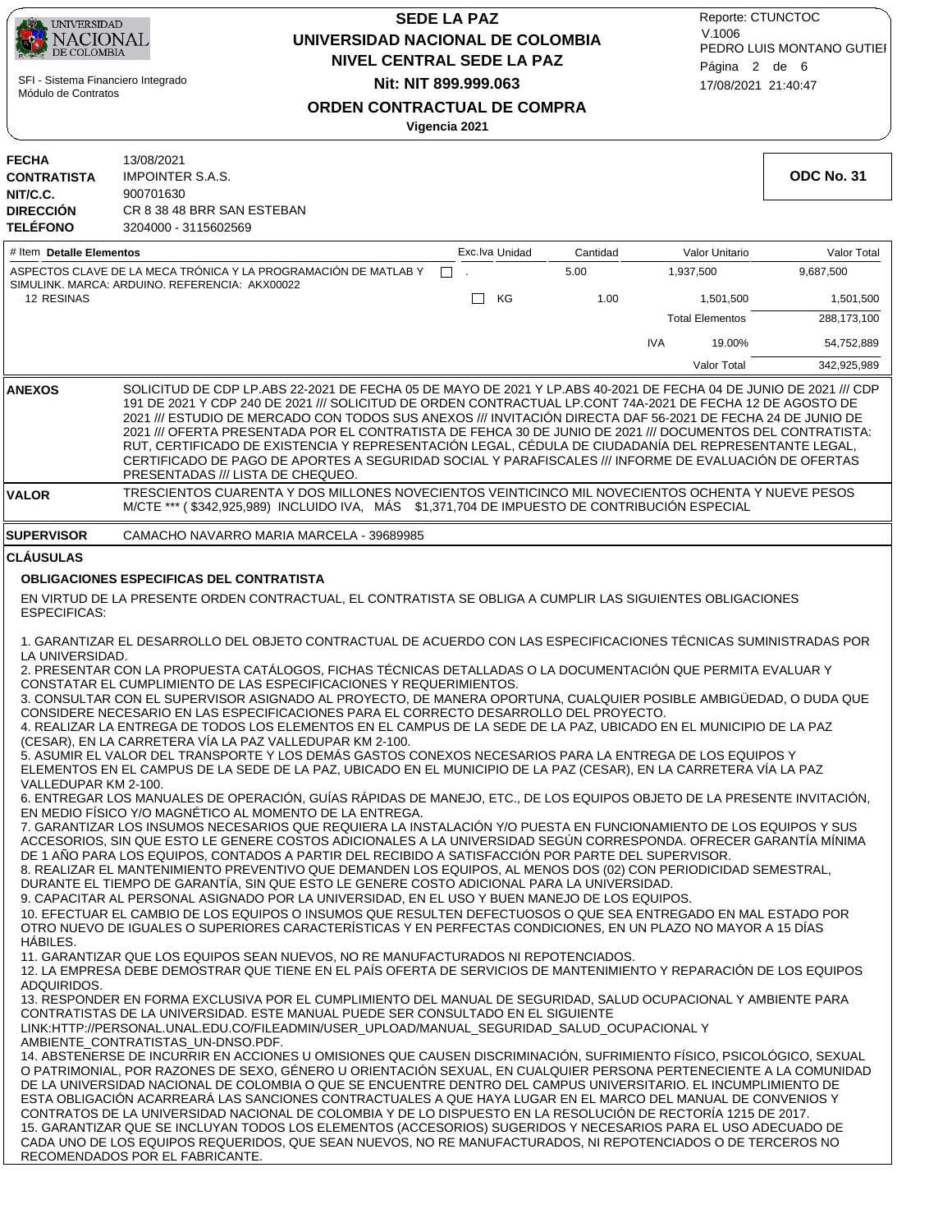| UNIVERSIDAD<br>NACIONAL<br>DE COLOMBIA<br>SFI - Sistema Financiero Integrado<br>Módulo de Contratos |                                                                                                          |                                                                                                                                                                                                                                                                                                                                                                                                                                                                                                                                                                                                                                                                                                                                                                                                                                                                                                                                                                                                                                                                                                                                                                                                                                                                                                                                                                                                                                                                                                                                                                                                                                                                                                                                                                                                                                                                                                                                                                                                                                                                                                                                                                                                                                                                                                      | <b>SEDE LA PAZ</b><br>UNIVERSIDAD NACIONAL DE COLOMBIA<br><b>NIVEL CENTRAL SEDE LA PAZ</b><br>Nit: NIT 899.999.063 |          |                        |             |  |
|-----------------------------------------------------------------------------------------------------|----------------------------------------------------------------------------------------------------------|------------------------------------------------------------------------------------------------------------------------------------------------------------------------------------------------------------------------------------------------------------------------------------------------------------------------------------------------------------------------------------------------------------------------------------------------------------------------------------------------------------------------------------------------------------------------------------------------------------------------------------------------------------------------------------------------------------------------------------------------------------------------------------------------------------------------------------------------------------------------------------------------------------------------------------------------------------------------------------------------------------------------------------------------------------------------------------------------------------------------------------------------------------------------------------------------------------------------------------------------------------------------------------------------------------------------------------------------------------------------------------------------------------------------------------------------------------------------------------------------------------------------------------------------------------------------------------------------------------------------------------------------------------------------------------------------------------------------------------------------------------------------------------------------------------------------------------------------------------------------------------------------------------------------------------------------------------------------------------------------------------------------------------------------------------------------------------------------------------------------------------------------------------------------------------------------------------------------------------------------------------------------------------------------------|--------------------------------------------------------------------------------------------------------------------|----------|------------------------|-------------|--|
|                                                                                                     |                                                                                                          |                                                                                                                                                                                                                                                                                                                                                                                                                                                                                                                                                                                                                                                                                                                                                                                                                                                                                                                                                                                                                                                                                                                                                                                                                                                                                                                                                                                                                                                                                                                                                                                                                                                                                                                                                                                                                                                                                                                                                                                                                                                                                                                                                                                                                                                                                                      | <b>ORDEN CONTRACTUAL DE COMPRA</b><br>Vigencia 2021                                                                |          |                        |             |  |
| <b>FECHA</b><br><b>CONTRATISTA</b><br>NIT/C.C.<br><b>DIRECCIÓN</b><br><b>TELÉFONO</b>               | 13/08/2021<br><b>IMPOINTER S.A.S.</b><br>900701630<br>CR 8 38 48 BRR SAN ESTEBAN<br>3204000 - 3115602569 |                                                                                                                                                                                                                                                                                                                                                                                                                                                                                                                                                                                                                                                                                                                                                                                                                                                                                                                                                                                                                                                                                                                                                                                                                                                                                                                                                                                                                                                                                                                                                                                                                                                                                                                                                                                                                                                                                                                                                                                                                                                                                                                                                                                                                                                                                                      |                                                                                                                    |          |                        | ODC No. 31  |  |
| # Item Detalle Elementos                                                                            |                                                                                                          |                                                                                                                                                                                                                                                                                                                                                                                                                                                                                                                                                                                                                                                                                                                                                                                                                                                                                                                                                                                                                                                                                                                                                                                                                                                                                                                                                                                                                                                                                                                                                                                                                                                                                                                                                                                                                                                                                                                                                                                                                                                                                                                                                                                                                                                                                                      | Exc.lva Unidad                                                                                                     | Cantidad | Valor Unitario         | Valor Total |  |
|                                                                                                     |                                                                                                          | ASPECTOS CLAVE DE LA MECA TRÓNICA Y LA PROGRAMACIÓN DE MATLAB Y                                                                                                                                                                                                                                                                                                                                                                                                                                                                                                                                                                                                                                                                                                                                                                                                                                                                                                                                                                                                                                                                                                                                                                                                                                                                                                                                                                                                                                                                                                                                                                                                                                                                                                                                                                                                                                                                                                                                                                                                                                                                                                                                                                                                                                      | $\mathbf{L}$                                                                                                       | 5.00     | 1,937,500              | 9,687,500   |  |
| <b>12 RESINAS</b>                                                                                   | SIMULINK. MARCA: ARDUINO. REFERENCIA: AKX00022                                                           |                                                                                                                                                                                                                                                                                                                                                                                                                                                                                                                                                                                                                                                                                                                                                                                                                                                                                                                                                                                                                                                                                                                                                                                                                                                                                                                                                                                                                                                                                                                                                                                                                                                                                                                                                                                                                                                                                                                                                                                                                                                                                                                                                                                                                                                                                                      | КG<br>$\Box$                                                                                                       | 1.00     | 1,501,500              | 1,501,500   |  |
|                                                                                                     |                                                                                                          |                                                                                                                                                                                                                                                                                                                                                                                                                                                                                                                                                                                                                                                                                                                                                                                                                                                                                                                                                                                                                                                                                                                                                                                                                                                                                                                                                                                                                                                                                                                                                                                                                                                                                                                                                                                                                                                                                                                                                                                                                                                                                                                                                                                                                                                                                                      |                                                                                                                    |          | <b>Total Elementos</b> | 288,173,100 |  |
|                                                                                                     |                                                                                                          |                                                                                                                                                                                                                                                                                                                                                                                                                                                                                                                                                                                                                                                                                                                                                                                                                                                                                                                                                                                                                                                                                                                                                                                                                                                                                                                                                                                                                                                                                                                                                                                                                                                                                                                                                                                                                                                                                                                                                                                                                                                                                                                                                                                                                                                                                                      |                                                                                                                    |          | <b>IVA</b><br>19.00%   | 54,752,889  |  |
|                                                                                                     |                                                                                                          |                                                                                                                                                                                                                                                                                                                                                                                                                                                                                                                                                                                                                                                                                                                                                                                                                                                                                                                                                                                                                                                                                                                                                                                                                                                                                                                                                                                                                                                                                                                                                                                                                                                                                                                                                                                                                                                                                                                                                                                                                                                                                                                                                                                                                                                                                                      |                                                                                                                    |          | Valor Total            | 342,925,989 |  |
| <b>ANEXOS</b>                                                                                       | PRESENTADAS /// LISTA DE CHEQUEO.                                                                        | SOLICITUD DE CDP LP.ABS 22-2021 DE FECHA 05 DE MAYO DE 2021 Y LP.ABS 40-2021 DE FECHA 04 DE JUNIO DE 2021 /// CDP<br>191 DE 2021 Y CDP 240 DE 2021 /// SOLICITUD DE ORDEN CONTRACTUAL LP.CONT 74A-2021 DE FECHA 12 DE AGOSTO DE<br>2021 /// ESTUDIO DE MERCADO CON TODOS SUS ANEXOS /// INVITACIÓN DIRECTA DAF 56-2021 DE FECHA 24 DE JUNIO DE<br>2021 /// OFERTA PRESENTADA POR EL CONTRATISTA DE FEHCA 30 DE JUNIO DE 2021 /// DOCUMENTOS DEL CONTRATISTA:<br>RUT, CERTIFICADO DE EXISTENCIA Y REPRESENTACIÓN LEGAL, CÉDULA DE CIUDADANÍA DEL REPRESENTANTE LEGAL,<br>CERTIFICADO DE PAGO DE APORTES A SEGURIDAD SOCIAL Y PARAFISCALES /// INFORME DE EVALUACIÓN DE OFERTAS                                                                                                                                                                                                                                                                                                                                                                                                                                                                                                                                                                                                                                                                                                                                                                                                                                                                                                                                                                                                                                                                                                                                                                                                                                                                                                                                                                                                                                                                                                                                                                                                                        |                                                                                                                    |          |                        |             |  |
| <b>VALOR</b>                                                                                        |                                                                                                          | TRESCIENTOS CUARENTA Y DOS MILLONES NOVECIENTOS VEINTICINCO MIL NOVECIENTOS OCHENTA Y NUEVE PESOS<br>M/CTE *** (\$342,925,989) INCLUIDO IVA, MÁS \$1,371,704 DE IMPUESTO DE CONTRIBUCIÓN ESPECIAL                                                                                                                                                                                                                                                                                                                                                                                                                                                                                                                                                                                                                                                                                                                                                                                                                                                                                                                                                                                                                                                                                                                                                                                                                                                                                                                                                                                                                                                                                                                                                                                                                                                                                                                                                                                                                                                                                                                                                                                                                                                                                                    |                                                                                                                    |          |                        |             |  |
| <b>SUPERVISOR</b>                                                                                   |                                                                                                          | CAMACHO NAVARRO MARIA MARCELA - 39689985                                                                                                                                                                                                                                                                                                                                                                                                                                                                                                                                                                                                                                                                                                                                                                                                                                                                                                                                                                                                                                                                                                                                                                                                                                                                                                                                                                                                                                                                                                                                                                                                                                                                                                                                                                                                                                                                                                                                                                                                                                                                                                                                                                                                                                                             |                                                                                                                    |          |                        |             |  |
| <b>ESPECIFICAS:</b><br>LA UNIVERSIDAD.<br>VALLEDUPAR KM 2-100.<br>HABILES.                          | (CESAR), EN LA CARRETERA VÍA LA PAZ VALLEDUPAR KM 2-100.                                                 | EN VIRTUD DE LA PRESENTE ORDEN CONTRACTUAL, EL CONTRATISTA SE OBLIGA A CUMPLIR LAS SIGUIENTES OBLIGACIONES<br>1. GARANTIZAR EL DESARROLLO DEL OBJETO CONTRACTUAL DE ACUERDO CON LAS ESPECIFICACIONES TÉCNICAS SUMINISTRADAS POR<br>2. PRESENTAR CON LA PROPUESTA CATÁLOGOS, FICHAS TÉCNICAS DETALLADAS O LA DOCUMENTACIÓN QUE PERMITA EVALUAR Y<br>CONSTATAR EL CUMPLIMIENTO DE LAS ESPECIFICACIONES Y REQUERIMIENTOS.<br>3. CONSULTAR CON EL SUPERVISOR ASIGNADO AL PROYECTO, DE MANERA OPORTUNA, CUALQUIER POSIBLE AMBIGÜEDAD, O DUDA QUE<br>CONSIDERE NECESARIO EN LAS ESPECIFICACIONES PARA EL CORRECTO DESARROLLO DEL PROYECTO.<br>4. REALIZAR LA ENTREGA DE TODOS LOS ELEMENTOS EN EL CAMPUS DE LA SEDE DE LA PAZ, UBICADO EN EL MUNICIPIO DE LA PAZ<br>5. ASUMIR EL VALOR DEL TRANSPORTE Y LOS DEMÁS GASTOS CONEXOS NECESARIOS PARA LA ENTREGA DE LOS EQUIPOS Y<br>ELEMENTOS EN EL CAMPUS DE LA SEDE DE LA PAZ, UBICADO EN EL MUNICIPIO DE LA PAZ (CESAR), EN LA CARRETERA VÍA LA PAZ<br>6. ENTREGAR LOS MANUALES DE OPERACIÓN, GUÍAS RÁPIDAS DE MANEJO, ETC., DE LOS EQUIPOS OBJETO DE LA PRESENTE INVITACIÓN,<br>EN MEDIO FISICO Y/O MAGNETICO AL MOMENTO DE LA ENTREGA.<br>7. GARANTIZAR LOS INSUMOS NECESARIOS QUE REQUIERA LA INSTALACIÓN Y/O PUESTA EN FUNCIONAMIENTO DE LOS EQUIPOS Y SUS<br>ACCESORIOS, SIN QUE ESTO LE GENERE COSTOS ADICIONALES A LA UNIVERSIDAD SEGÚN CORRESPONDA. OFRECER GARANTÍA MÍNIMA<br>DE 1 AÑO PARA LOS EQUIPOS, CONTADOS A PARTIR DEL RECIBIDO A SATISFACCIÓN POR PARTE DEL SUPERVISOR.<br>8. REALIZAR EL MANTENIMIENTO PREVENTIVO QUE DEMANDEN LOS EQUIPOS, AL MENOS DOS (02) CON PERIODICIDAD SEMESTRAL,<br>DURANTE EL TIEMPO DE GARANTÍA, SIN QUE ESTO LE GENERE COSTO ADICIONAL PARA LA UNIVERSIDAD.<br>9. CAPACITAR AL PERSONAL ASIGNADO POR LA UNIVERSIDAD, EN EL USO Y BUEN MANEJO DE LOS EQUIPOS.<br>10. EFECTUAR EL CAMBIO DE LOS EQUIPOS O INSUMOS QUE RESULTEN DEFECTUOSOS O QUE SEA ENTREGADO EN MAL ESTADO POR<br>OTRO NUEVO DE IGUALES O SUPERIORES CARACTERÍSTICAS Y EN PERFECTAS CONDICIONES, EN UN PLAZO NO MAYOR A 15 DÍAS<br>11. GARANTIZAR QUE LOS EQUIPOS SEAN NUEVOS, NO RE MANUFACTURADOS NI REPOTENCIADOS.<br>12. LA EMPRESA DEBE DEMOSTRAR QUE TIENE EN EL PAÍS OFERTA DE SERVICIOS DE MANTENIMIENTO Y REPARACIÓN DE LOS EQUIPOS |                                                                                                                    |          |                        |             |  |
| ADQUIRIDOS.                                                                                         | AMBIENTE_CONTRATISTAS_UN-DNSO.PDF.<br>RECOMENDADOS POR EL FABRICANTE.                                    | 13. RESPONDER EN FORMA EXCLUSIVA POR EL CUMPLIMIENTO DEL MANUAL DE SEGURIDAD, SALUD OCUPACIONAL Y AMBIENTE PARA<br>CONTRATISTAS DE LA UNIVERSIDAD. ESTE MANUAL PUEDE SER CONSULTADO EN EL SIGUIENTE<br>LINK:HTTP://PERSONAL.UNAL.EDU.CO/FILEADMIN/USER_UPLOAD/MANUAL_SEGURIDAD_SALUD_OCUPACIONALY<br>14. ABSTENERSE DE INCURRIR EN ACCIONES U OMISIONES QUE CAUSEN DISCRIMINACIÓN, SUFRIMIENTO FÍSICO, PSICOLÓGICO, SEXUAL<br>O PATRIMONIAL, POR RAZONES DE SEXO, GÉNERO U ORIENTACIÓN SEXUAL, EN CUALQUIER PERSONA PERTENECIENTE A LA COMUNIDAD<br>DE LA UNIVERSIDAD NACIONAL DE COLOMBIA O QUE SE ENCUENTRE DENTRO DEL CAMPUS UNIVERSITARIO. EL INCUMPLIMIENTO DE<br>ESTA OBLIGACIÓN ACARREARÁ LAS SANCIONES CONTRACTUALES A QUE HAYA LUGAR EN EL MARCO DEL MANUAL DE CONVENIOS Y<br>CONTRATOS DE LA UNIVERSIDAD NACIONAL DE COLOMBIA Y DE LO DISPUESTO EN LA RESOLUCIÓN DE RECTORÍA 1215 DE 2017.<br>15. GARANTIZAR QUE SE INCLUYAN TODOS LOS ELEMENTOS (ACCESORIOS) SUGERIDOS Y NECESARIOS PARA EL USO ADECUADO DE<br>CADA UNO DE LOS EQUIPOS REQUERIDOS, QUE SEAN NUEVOS, NO RE MANUFACTURADOS, NI REPOTENCIADOS O DE TERCEROS NO                                                                                                                                                                                                                                                                                                                                                                                                                                                                                                                                                                                                                                                                                                                                                                                                                                                                                                                                                                                                                                                                                                                                                               |                                                                                                                    |          |                        |             |  |

ſ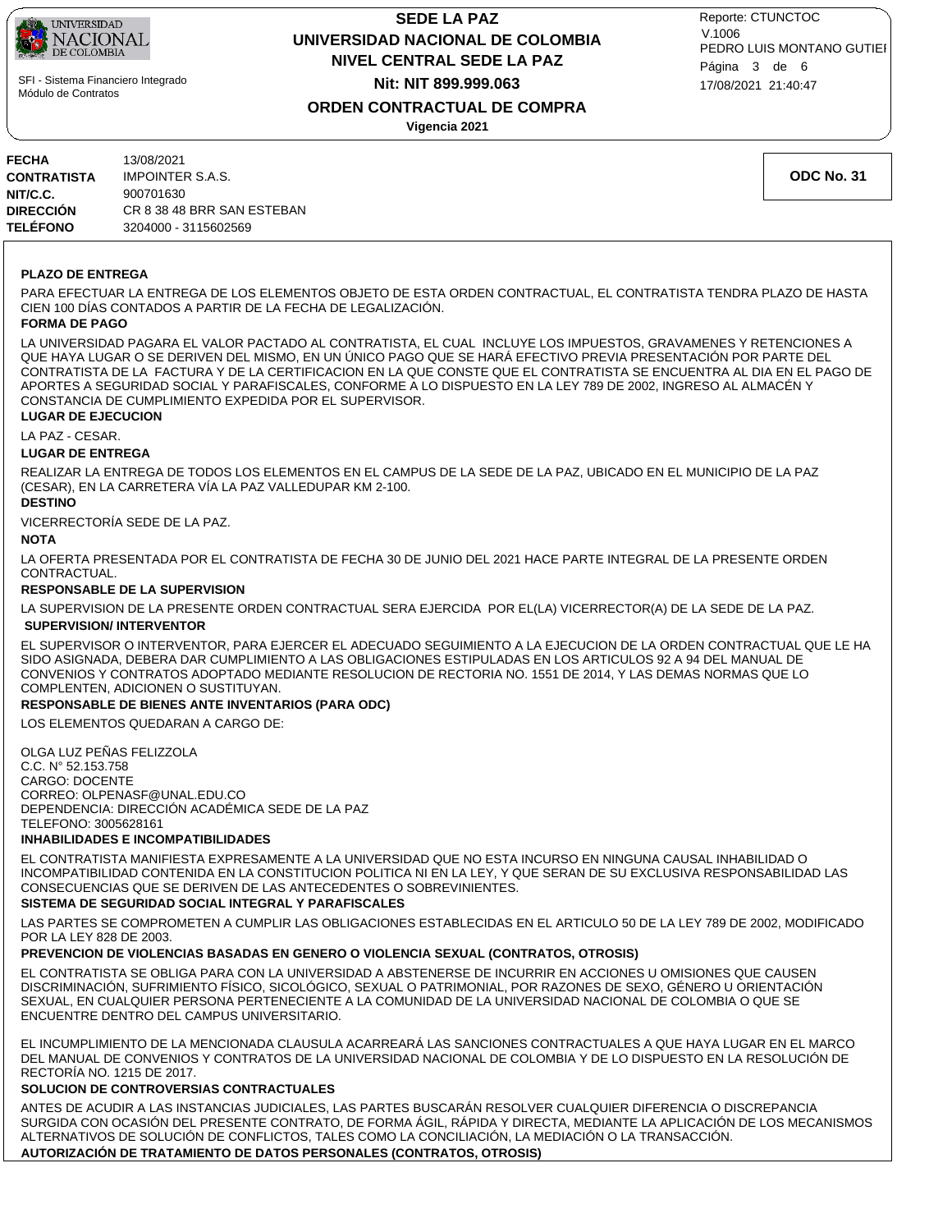

## **NIVEL CENTRAL SEDE LA PAZ SEDE LA PAZ UNIVERSIDAD NACIONAL DE COLOMBIA Nit: NIT 899.999.063**

17/08/2021 21:40:47 PEDRO LUIS MONTANO GUTIEI Reporte: CTUNCTOC V.1006 Página 3 de 6

## **ORDEN CONTRACTUAL DE COMPRA**

**Vigencia 2021**

| FECHA           | 13/08/2021                 |
|-----------------|----------------------------|
| CONTRATISTA     | <b>IMPOINTER S.A.S.</b>    |
| NIT/C.C.        | 900701630                  |
| DIRECCIÓN       | CR 8 38 48 BRR SAN ESTEBAN |
| <b>TELÉFONO</b> | 3204000 - 3115602569       |

**ODC No. 31**

### **PLAZO DE ENTREGA**

PARA EFECTUAR LA ENTREGA DE LOS ELEMENTOS OBJETO DE ESTA ORDEN CONTRACTUAL, EL CONTRATISTA TENDRA PLAZO DE HASTA CIEN 100 DÍAS CONTADOS A PARTIR DE LA FECHA DE LEGALIZACIÓN.

### **FORMA DE PAGO**

LA UNIVERSIDAD PAGARA EL VALOR PACTADO AL CONTRATISTA, EL CUAL INCLUYE LOS IMPUESTOS, GRAVAMENES Y RETENCIONES A QUE HAYA LUGAR O SE DERIVEN DEL MISMO, EN UN ÚNICO PAGO QUE SE HARÁ EFECTIVO PREVIA PRESENTACIÓN POR PARTE DEL CONTRATISTA DE LA FACTURA Y DE LA CERTIFICACION EN LA QUE CONSTE QUE EL CONTRATISTA SE ENCUENTRA AL DIA EN EL PAGO DE APORTES A SEGURIDAD SOCIAL Y PARAFISCALES, CONFORME A LO DISPUESTO EN LA LEY 789 DE 2002, INGRESO AL ALMACÉN Y CONSTANCIA DE CUMPLIMIENTO EXPEDIDA POR EL SUPERVISOR.

### **LUGAR DE EJECUCION**

LA PAZ - CESAR.

### **LUGAR DE ENTREGA**

REALIZAR LA ENTREGA DE TODOS LOS ELEMENTOS EN EL CAMPUS DE LA SEDE DE LA PAZ, UBICADO EN EL MUNICIPIO DE LA PAZ (CESAR), EN LA CARRETERA VÍA LA PAZ VALLEDUPAR KM 2-100.

### **DESTINO**

VICERRECTORÍA SEDE DE LA PAZ.

### **NOTA**

LA OFERTA PRESENTADA POR EL CONTRATISTA DE FECHA 30 DE JUNIO DEL 2021 HACE PARTE INTEGRAL DE LA PRESENTE ORDEN CONTRACTUAL.

### **RESPONSABLE DE LA SUPERVISION**

 **SUPERVISION/ INTERVENTOR** LA SUPERVISION DE LA PRESENTE ORDEN CONTRACTUAL SERA EJERCIDA POR EL(LA) VICERRECTOR(A) DE LA SEDE DE LA PAZ.

EL SUPERVISOR O INTERVENTOR, PARA EJERCER EL ADECUADO SEGUIMIENTO A LA EJECUCION DE LA ORDEN CONTRACTUAL QUE LE HA SIDO ASIGNADA, DEBERA DAR CUMPLIMIENTO A LAS OBLIGACIONES ESTIPULADAS EN LOS ARTICULOS 92 A 94 DEL MANUAL DE CONVENIOS Y CONTRATOS ADOPTADO MEDIANTE RESOLUCION DE RECTORIA NO. 1551 DE 2014, Y LAS DEMAS NORMAS QUE LO COMPLENTEN, ADICIONEN O SUSTITUYAN.

### **RESPONSABLE DE BIENES ANTE INVENTARIOS (PARA ODC)**

LOS ELEMENTOS QUEDARAN A CARGO DE:

OLGA LUZ PEÑAS FELIZZOLA C.C. N° 52.153.758 CARGO: DOCENTE CORREO: OLPENASF@UNAL.EDU.CO DEPENDENCIA: DIRECCIÓN ACADÉMICA SEDE DE LA PAZ TELEFONO: 3005628161

### **INHABILIDADES E INCOMPATIBILIDADES**

EL CONTRATISTA MANIFIESTA EXPRESAMENTE A LA UNIVERSIDAD QUE NO ESTA INCURSO EN NINGUNA CAUSAL INHABILIDAD O INCOMPATIBILIDAD CONTENIDA EN LA CONSTITUCION POLITICA NI EN LA LEY, Y QUE SERAN DE SU EXCLUSIVA RESPONSABILIDAD LAS CONSECUENCIAS QUE SE DERIVEN DE LAS ANTECEDENTES O SOBREVINIENTES.

### **SISTEMA DE SEGURIDAD SOCIAL INTEGRAL Y PARAFISCALES**

LAS PARTES SE COMPROMETEN A CUMPLIR LAS OBLIGACIONES ESTABLECIDAS EN EL ARTICULO 50 DE LA LEY 789 DE 2002, MODIFICADO POR LA LEY 828 DE 2003.

### **PREVENCION DE VIOLENCIAS BASADAS EN GENERO O VIOLENCIA SEXUAL (CONTRATOS, OTROSIS)**

EL CONTRATISTA SE OBLIGA PARA CON LA UNIVERSIDAD A ABSTENERSE DE INCURRIR EN ACCIONES U OMISIONES QUE CAUSEN DISCRIMINACIÓN, SUFRIMIENTO FÍSICO, SICOLÓGICO, SEXUAL O PATRIMONIAL, POR RAZONES DE SEXO, GÉNERO U ORIENTACIÓN SEXUAL, EN CUALQUIER PERSONA PERTENECIENTE A LA COMUNIDAD DE LA UNIVERSIDAD NACIONAL DE COLOMBIA O QUE SE ENCUENTRE DENTRO DEL CAMPUS UNIVERSITARIO.

EL INCUMPLIMIENTO DE LA MENCIONADA CLAUSULA ACARREARÁ LAS SANCIONES CONTRACTUALES A QUE HAYA LUGAR EN EL MARCO DEL MANUAL DE CONVENIOS Y CONTRATOS DE LA UNIVERSIDAD NACIONAL DE COLOMBIA Y DE LO DISPUESTO EN LA RESOLUCIÓN DE RECTORÍA NO. 1215 DE 2017.

### **SOLUCION DE CONTROVERSIAS CONTRACTUALES**

ANTES DE ACUDIR A LAS INSTANCIAS JUDICIALES, LAS PARTES BUSCARÁN RESOLVER CUALQUIER DIFERENCIA O DISCREPANCIA SURGIDA CON OCASIÓN DEL PRESENTE CONTRATO, DE FORMA ÁGIL, RÁPIDA Y DIRECTA, MEDIANTE LA APLICACIÓN DE LOS MECANISMOS ALTERNATIVOS DE SOLUCIÓN DE CONFLICTOS, TALES COMO LA CONCILIACIÓN, LA MEDIACIÓN O LA TRANSACCIÓN.

### **AUTORIZACIÓN DE TRATAMIENTO DE DATOS PERSONALES (CONTRATOS, OTROSIS)**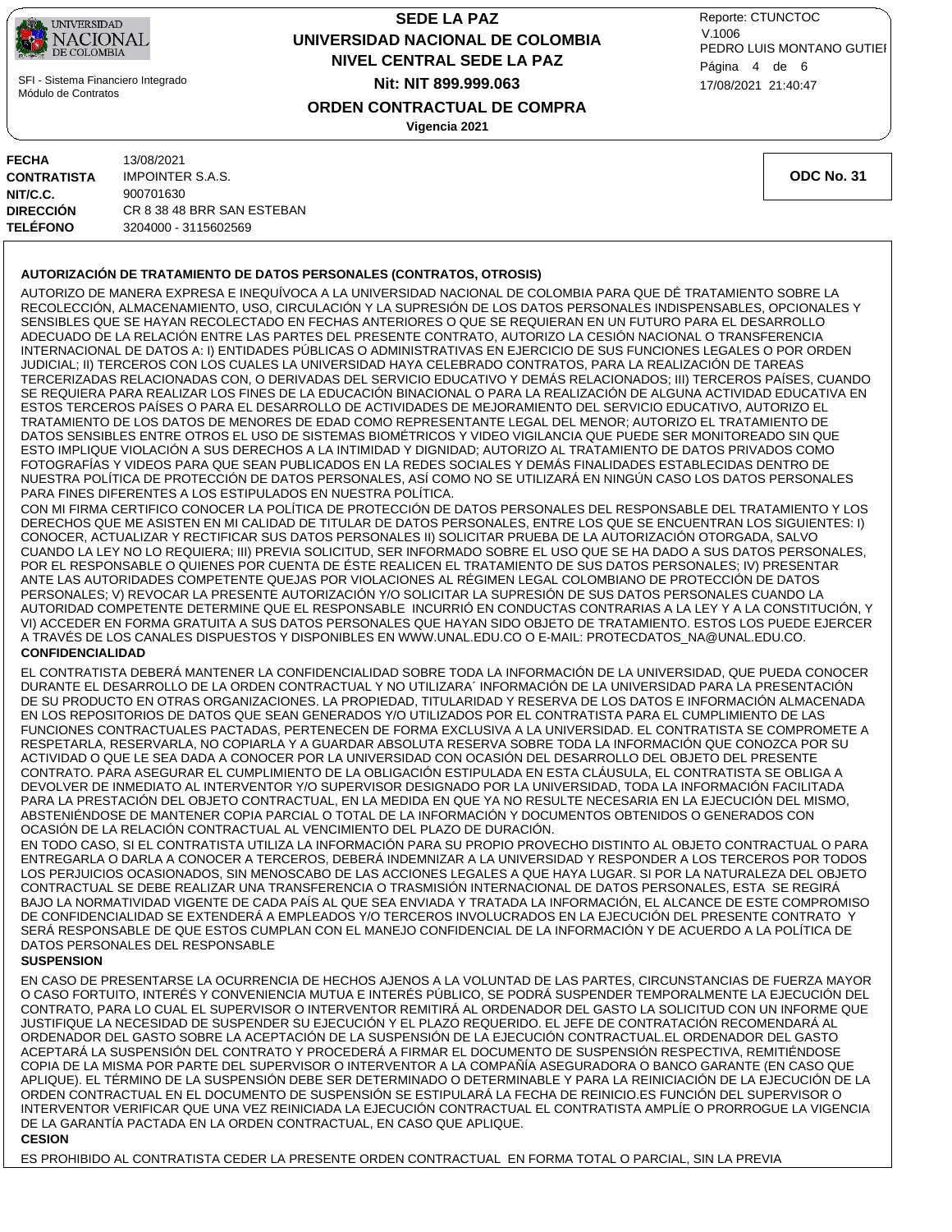

## **NIVEL CENTRAL SEDE LA PAZ SEDE LA PAZ UNIVERSIDAD NACIONAL DE COLOMBIA Nit: NIT 899.999.063**

17/08/2021 21:40:47 PEDRO LUIS MONTANO GUTIEI Reporte: CTUNCTOC V.1006 Página 4 de 6

**ORDEN CONTRACTUAL DE COMPRA**

**Vigencia 2021**

| FECHA              | 13/08/2021                 |
|--------------------|----------------------------|
| <b>CONTRATISTA</b> | <b>IMPOINTER S.A.S.</b>    |
| NIT/C.C.           | 900701630                  |
| DIRECCIÓN          | CR 8 38 48 BRR SAN ESTEBAN |
| <b>TELÉFONO</b>    | 3204000 - 3115602569       |
|                    |                            |

**ODC No. 31**

### **AUTORIZACIÓN DE TRATAMIENTO DE DATOS PERSONALES (CONTRATOS, OTROSIS)**

AUTORIZO DE MANERA EXPRESA E INEQUÍVOCA A LA UNIVERSIDAD NACIONAL DE COLOMBIA PARA QUE DÉ TRATAMIENTO SOBRE LA RECOLECCIÓN, ALMACENAMIENTO, USO, CIRCULACIÓN Y LA SUPRESIÓN DE LOS DATOS PERSONALES INDISPENSABLES, OPCIONALES Y SENSIBLES QUE SE HAYAN RECOLECTADO EN FECHAS ANTERIORES O QUE SE REQUIERAN EN UN FUTURO PARA EL DESARROLLO ADECUADO DE LA RELACIÓN ENTRE LAS PARTES DEL PRESENTE CONTRATO, AUTORIZO LA CESIÓN NACIONAL O TRANSFERENCIA INTERNACIONAL DE DATOS A: I) ENTIDADES PÚBLICAS O ADMINISTRATIVAS EN EJERCICIO DE SUS FUNCIONES LEGALES O POR ORDEN JUDICIAL; II) TERCEROS CON LOS CUALES LA UNIVERSIDAD HAYA CELEBRADO CONTRATOS, PARA LA REALIZACIÓN DE TAREAS TERCERIZADAS RELACIONADAS CON, O DERIVADAS DEL SERVICIO EDUCATIVO Y DEMÁS RELACIONADOS; III) TERCEROS PAÍSES, CUANDO SE REQUIERA PARA REALIZAR LOS FINES DE LA EDUCACIÓN BINACIONAL O PARA LA REALIZACIÓN DE ALGUNA ACTIVIDAD EDUCATIVA EN ESTOS TERCEROS PAÍSES O PARA EL DESARROLLO DE ACTIVIDADES DE MEJORAMIENTO DEL SERVICIO EDUCATIVO, AUTORIZO EL TRATAMIENTO DE LOS DATOS DE MENORES DE EDAD COMO REPRESENTANTE LEGAL DEL MENOR; AUTORIZO EL TRATAMIENTO DE DATOS SENSIBLES ENTRE OTROS EL USO DE SISTEMAS BIOMÉTRICOS Y VIDEO VIGILANCIA QUE PUEDE SER MONITOREADO SIN QUE ESTO IMPLIQUE VIOLACIÓN A SUS DERECHOS A LA INTIMIDAD Y DIGNIDAD; AUTORIZO AL TRATAMIENTO DE DATOS PRIVADOS COMO FOTOGRAFÍAS Y VIDEOS PARA QUE SEAN PUBLICADOS EN LA REDES SOCIALES Y DEMÁS FINALIDADES ESTABLECIDAS DENTRO DE NUESTRA POLÍTICA DE PROTECCIÓN DE DATOS PERSONALES, ASÍ COMO NO SE UTILIZARÁ EN NINGÚN CASO LOS DATOS PERSONALES PARA FINES DIFERENTES A LOS ESTIPULADOS EN NUESTRA POLÍTICA.

**CONFIDENCIALIDAD** CON MI FIRMA CERTIFICO CONOCER LA POLÍTICA DE PROTECCIÓN DE DATOS PERSONALES DEL RESPONSABLE DEL TRATAMIENTO Y LOS DERECHOS QUE ME ASISTEN EN MI CALIDAD DE TITULAR DE DATOS PERSONALES, ENTRE LOS QUE SE ENCUENTRAN LOS SIGUIENTES: I) CONOCER, ACTUALIZAR Y RECTIFICAR SUS DATOS PERSONALES II) SOLICITAR PRUEBA DE LA AUTORIZACIÓN OTORGADA, SALVO CUANDO LA LEY NO LO REQUIERA; III) PREVIA SOLICITUD, SER INFORMADO SOBRE EL USO QUE SE HA DADO A SUS DATOS PERSONALES, POR EL RESPONSABLE O QUIENES POR CUENTA DE ÉSTE REALICEN EL TRATAMIENTO DE SUS DATOS PERSONALES; IV) PRESENTAR ANTE LAS AUTORIDADES COMPETENTE QUEJAS POR VIOLACIONES AL RÉGIMEN LEGAL COLOMBIANO DE PROTECCIÓN DE DATOS PERSONALES; V) REVOCAR LA PRESENTE AUTORIZACIÓN Y/O SOLICITAR LA SUPRESIÓN DE SUS DATOS PERSONALES CUANDO LA AUTORIDAD COMPETENTE DETERMINE QUE EL RESPONSABLE INCURRIÓ EN CONDUCTAS CONTRARIAS A LA LEY Y A LA CONSTITUCIÓN, Y VI) ACCEDER EN FORMA GRATUITA A SUS DATOS PERSONALES QUE HAYAN SIDO OBJETO DE TRATAMIENTO. ESTOS LOS PUEDE EJERCER A TRAVÉS DE LOS CANALES DISPUESTOS Y DISPONIBLES EN WWW.UNAL.EDU.CO O E-MAIL: PROTECDATOS\_NA@UNAL.EDU.CO.

EL CONTRATISTA DEBERÁ MANTENER LA CONFIDENCIALIDAD SOBRE TODA LA INFORMACIÓN DE LA UNIVERSIDAD, QUE PUEDA CONOCER DURANTE EL DESARROLLO DE LA ORDEN CONTRACTUAL Y NO UTILIZARA´ INFORMACIÓN DE LA UNIVERSIDAD PARA LA PRESENTACIÓN DE SU PRODUCTO EN OTRAS ORGANIZACIONES. LA PROPIEDAD, TITULARIDAD Y RESERVA DE LOS DATOS E INFORMACIÓN ALMACENADA EN LOS REPOSITORIOS DE DATOS QUE SEAN GENERADOS Y/O UTILIZADOS POR EL CONTRATISTA PARA EL CUMPLIMIENTO DE LAS FUNCIONES CONTRACTUALES PACTADAS, PERTENECEN DE FORMA EXCLUSIVA A LA UNIVERSIDAD. EL CONTRATISTA SE COMPROMETE A RESPETARLA, RESERVARLA, NO COPIARLA Y A GUARDAR ABSOLUTA RESERVA SOBRE TODA LA INFORMACIÓN QUE CONOZCA POR SU ACTIVIDAD O QUE LE SEA DADA A CONOCER POR LA UNIVERSIDAD CON OCASIÓN DEL DESARROLLO DEL OBJETO DEL PRESENTE CONTRATO. PARA ASEGURAR EL CUMPLIMIENTO DE LA OBLIGACIÓN ESTIPULADA EN ESTA CLÁUSULA, EL CONTRATISTA SE OBLIGA A DEVOLVER DE INMEDIATO AL INTERVENTOR Y/O SUPERVISOR DESIGNADO POR LA UNIVERSIDAD, TODA LA INFORMACIÓN FACILITADA PARA LA PRESTACIÓN DEL OBJETO CONTRACTUAL, EN LA MEDIDA EN QUE YA NO RESULTE NECESARIA EN LA EJECUCIÓN DEL MISMO, ABSTENIÉNDOSE DE MANTENER COPIA PARCIAL O TOTAL DE LA INFORMACIÓN Y DOCUMENTOS OBTENIDOS O GENERADOS CON OCASIÓN DE LA RELACIÓN CONTRACTUAL AL VENCIMIENTO DEL PLAZO DE DURACIÓN.

EN TODO CASO, SI EL CONTRATISTA UTILIZA LA INFORMACIÓN PARA SU PROPIO PROVECHO DISTINTO AL OBJETO CONTRACTUAL O PARA ENTREGARLA O DARLA A CONOCER A TERCEROS, DEBERÁ INDEMNIZAR A LA UNIVERSIDAD Y RESPONDER A LOS TERCEROS POR TODOS LOS PERJUICIOS OCASIONADOS, SIN MENOSCABO DE LAS ACCIONES LEGALES A QUE HAYA LUGAR. SI POR LA NATURALEZA DEL OBJETO CONTRACTUAL SE DEBE REALIZAR UNA TRANSFERENCIA O TRASMISIÓN INTERNACIONAL DE DATOS PERSONALES, ESTA SE REGIRÁ BAJO LA NORMATIVIDAD VIGENTE DE CADA PAÍS AL QUE SEA ENVIADA Y TRATADA LA INFORMACIÓN, EL ALCANCE DE ESTE COMPROMISO DE CONFIDENCIALIDAD SE EXTENDERÁ A EMPLEADOS Y/O TERCEROS INVOLUCRADOS EN LA EJECUCIÓN DEL PRESENTE CONTRATO Y SERÁ RESPONSABLE DE QUE ESTOS CUMPLAN CON EL MANEJO CONFIDENCIAL DE LA INFORMACIÓN Y DE ACUERDO A LA POLÍTICA DE DATOS PERSONALES DEL RESPONSABLE

### **SUSPENSION**

EN CASO DE PRESENTARSE LA OCURRENCIA DE HECHOS AJENOS A LA VOLUNTAD DE LAS PARTES, CIRCUNSTANCIAS DE FUERZA MAYOR O CASO FORTUITO, INTERÉS Y CONVENIENCIA MUTUA E INTERÉS PÚBLICO, SE PODRÁ SUSPENDER TEMPORALMENTE LA EJECUCIÓN DEL CONTRATO, PARA LO CUAL EL SUPERVISOR O INTERVENTOR REMITIRÁ AL ORDENADOR DEL GASTO LA SOLICITUD CON UN INFORME QUE JUSTIFIQUE LA NECESIDAD DE SUSPENDER SU EJECUCIÓN Y EL PLAZO REQUERIDO. EL JEFE DE CONTRATACIÓN RECOMENDARÁ AL ORDENADOR DEL GASTO SOBRE LA ACEPTACIÓN DE LA SUSPENSIÓN DE LA EJECUCIÓN CONTRACTUAL.EL ORDENADOR DEL GASTO ACEPTARÁ LA SUSPENSIÓN DEL CONTRATO Y PROCEDERÁ A FIRMAR EL DOCUMENTO DE SUSPENSIÓN RESPECTIVA, REMITIÉNDOSE COPIA DE LA MISMA POR PARTE DEL SUPERVISOR O INTERVENTOR A LA COMPAÑÍA ASEGURADORA O BANCO GARANTE (EN CASO QUE APLIQUE). EL TÉRMINO DE LA SUSPENSIÓN DEBE SER DETERMINADO O DETERMINABLE Y PARA LA REINICIACIÓN DE LA EJECUCIÓN DE LA ORDEN CONTRACTUAL EN EL DOCUMENTO DE SUSPENSIÓN SE ESTIPULARÁ LA FECHA DE REINICIO.ES FUNCIÓN DEL SUPERVISOR O INTERVENTOR VERIFICAR QUE UNA VEZ REINICIADA LA EJECUCIÓN CONTRACTUAL EL CONTRATISTA AMPLÍE O PRORROGUE LA VIGENCIA DE LA GARANTÍA PACTADA EN LA ORDEN CONTRACTUAL, EN CASO QUE APLIQUE.

### **CESION**

ES PROHIBIDO AL CONTRATISTA CEDER LA PRESENTE ORDEN CONTRACTUAL EN FORMA TOTAL O PARCIAL, SIN LA PREVIA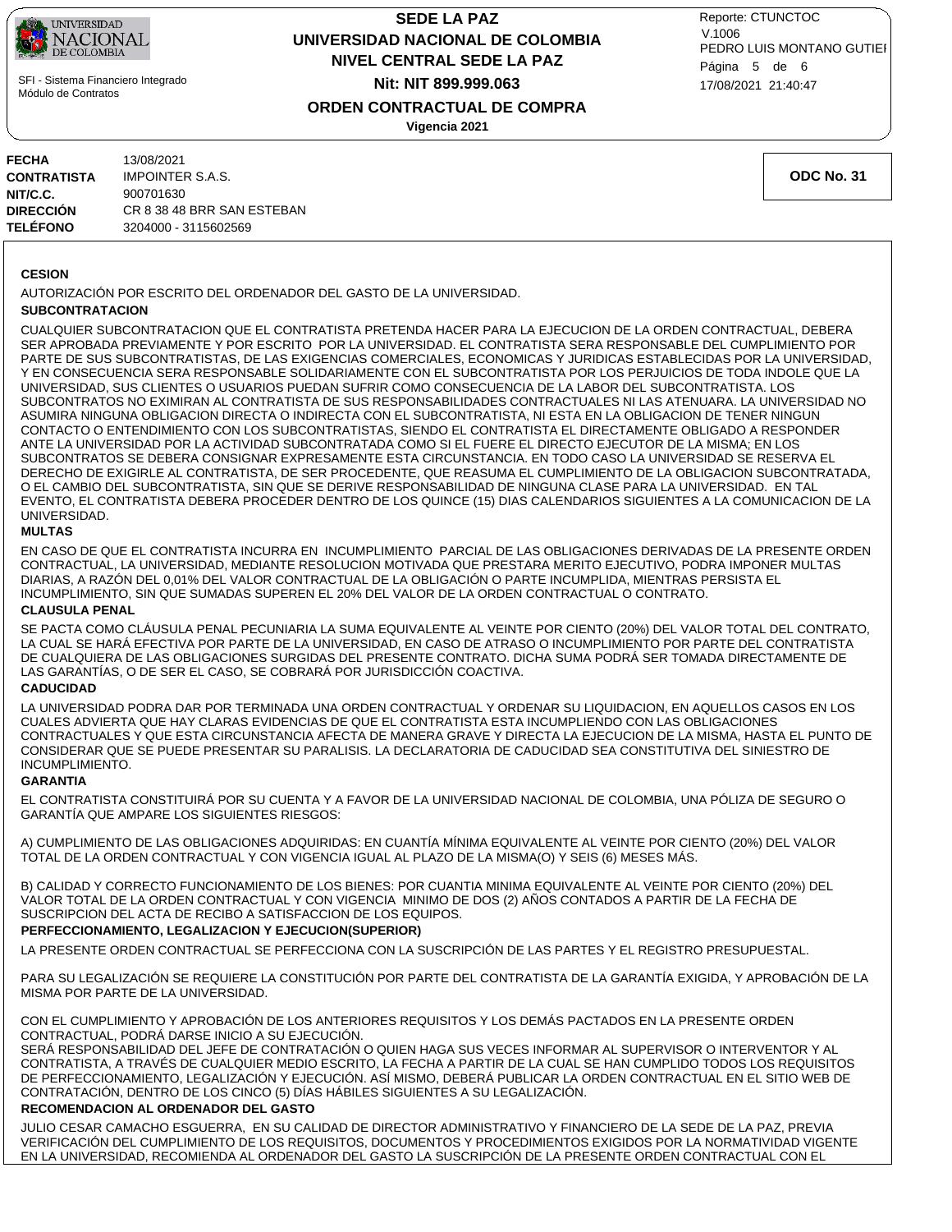

## **NIVEL CENTRAL SEDE LA PAZ SEDE LA PAZ UNIVERSIDAD NACIONAL DE COLOMBIA Nit: NIT 899.999.063**

17/08/2021 21:40:47 PEDRO LUIS MONTANO GUTIEI Reporte: CTUNCTOC V.1006 Página 5 de 6

## **ORDEN CONTRACTUAL DE COMPRA**

**Vigencia 2021**

| 13/08/2021                 |
|----------------------------|
| <b>IMPOINTER S.A.S.</b>    |
| 900701630                  |
| CR 8 38 48 BRR SAN ESTEBAN |
| 3204000 - 3115602569       |
|                            |

**ODC No. 31**

### **CESION**

AUTORIZACIÓN POR ESCRITO DEL ORDENADOR DEL GASTO DE LA UNIVERSIDAD.

### **SUBCONTRATACION**

CUALQUIER SUBCONTRATACION QUE EL CONTRATISTA PRETENDA HACER PARA LA EJECUCION DE LA ORDEN CONTRACTUAL, DEBERA SER APROBADA PREVIAMENTE Y POR ESCRITO POR LA UNIVERSIDAD. EL CONTRATISTA SERA RESPONSABLE DEL CUMPLIMIENTO POR PARTE DE SUS SUBCONTRATISTAS, DE LAS EXIGENCIAS COMERCIALES, ECONOMICAS Y JURIDICAS ESTABLECIDAS POR LA UNIVERSIDAD, Y EN CONSECUENCIA SERA RESPONSABLE SOLIDARIAMENTE CON EL SUBCONTRATISTA POR LOS PERJUICIOS DE TODA INDOLE QUE LA UNIVERSIDAD, SUS CLIENTES O USUARIOS PUEDAN SUFRIR COMO CONSECUENCIA DE LA LABOR DEL SUBCONTRATISTA. LOS SUBCONTRATOS NO EXIMIRAN AL CONTRATISTA DE SUS RESPONSABILIDADES CONTRACTUALES NI LAS ATENUARA. LA UNIVERSIDAD NO ASUMIRA NINGUNA OBLIGACION DIRECTA O INDIRECTA CON EL SUBCONTRATISTA, NI ESTA EN LA OBLIGACION DE TENER NINGUN CONTACTO O ENTENDIMIENTO CON LOS SUBCONTRATISTAS, SIENDO EL CONTRATISTA EL DIRECTAMENTE OBLIGADO A RESPONDER ANTE LA UNIVERSIDAD POR LA ACTIVIDAD SUBCONTRATADA COMO SI EL FUERE EL DIRECTO EJECUTOR DE LA MISMA; EN LOS SUBCONTRATOS SE DEBERA CONSIGNAR EXPRESAMENTE ESTA CIRCUNSTANCIA. EN TODO CASO LA UNIVERSIDAD SE RESERVA EL DERECHO DE EXIGIRLE AL CONTRATISTA, DE SER PROCEDENTE, QUE REASUMA EL CUMPLIMIENTO DE LA OBLIGACION SUBCONTRATADA, O EL CAMBIO DEL SUBCONTRATISTA, SIN QUE SE DERIVE RESPONSABILIDAD DE NINGUNA CLASE PARA LA UNIVERSIDAD. EN TAL EVENTO, EL CONTRATISTA DEBERA PROCEDER DENTRO DE LOS QUINCE (15) DIAS CALENDARIOS SIGUIENTES A LA COMUNICACION DE LA UNIVERSIDAD.

### **MULTAS**

EN CASO DE QUE EL CONTRATISTA INCURRA EN INCUMPLIMIENTO PARCIAL DE LAS OBLIGACIONES DERIVADAS DE LA PRESENTE ORDEN CONTRACTUAL, LA UNIVERSIDAD, MEDIANTE RESOLUCION MOTIVADA QUE PRESTARA MERITO EJECUTIVO, PODRA IMPONER MULTAS DIARIAS, A RAZÓN DEL 0,01% DEL VALOR CONTRACTUAL DE LA OBLIGACIÓN O PARTE INCUMPLIDA, MIENTRAS PERSISTA EL INCUMPLIMIENTO, SIN QUE SUMADAS SUPEREN EL 20% DEL VALOR DE LA ORDEN CONTRACTUAL O CONTRATO.

### **CLAUSULA PENAL**

SE PACTA COMO CLÁUSULA PENAL PECUNIARIA LA SUMA EQUIVALENTE AL VEINTE POR CIENTO (20%) DEL VALOR TOTAL DEL CONTRATO, LA CUAL SE HARÁ EFECTIVA POR PARTE DE LA UNIVERSIDAD, EN CASO DE ATRASO O INCUMPLIMIENTO POR PARTE DEL CONTRATISTA DE CUALQUIERA DE LAS OBLIGACIONES SURGIDAS DEL PRESENTE CONTRATO. DICHA SUMA PODRÁ SER TOMADA DIRECTAMENTE DE LAS GARANTÍAS, O DE SER EL CASO, SE COBRARÁ POR JURISDICCIÓN COACTIVA.

### **CADUCIDAD**

LA UNIVERSIDAD PODRA DAR POR TERMINADA UNA ORDEN CONTRACTUAL Y ORDENAR SU LIQUIDACION, EN AQUELLOS CASOS EN LOS CUALES ADVIERTA QUE HAY CLARAS EVIDENCIAS DE QUE EL CONTRATISTA ESTA INCUMPLIENDO CON LAS OBLIGACIONES CONTRACTUALES Y QUE ESTA CIRCUNSTANCIA AFECTA DE MANERA GRAVE Y DIRECTA LA EJECUCION DE LA MISMA, HASTA EL PUNTO DE CONSIDERAR QUE SE PUEDE PRESENTAR SU PARALISIS. LA DECLARATORIA DE CADUCIDAD SEA CONSTITUTIVA DEL SINIESTRO DE INCUMPLIMIENTO.

### **GARANTIA**

EL CONTRATISTA CONSTITUIRÁ POR SU CUENTA Y A FAVOR DE LA UNIVERSIDAD NACIONAL DE COLOMBIA, UNA PÓLIZA DE SEGURO O GARANTÍA QUE AMPARE LOS SIGUIENTES RIESGOS:

A) CUMPLIMIENTO DE LAS OBLIGACIONES ADQUIRIDAS: EN CUANTÍA MÍNIMA EQUIVALENTE AL VEINTE POR CIENTO (20%) DEL VALOR TOTAL DE LA ORDEN CONTRACTUAL Y CON VIGENCIA IGUAL AL PLAZO DE LA MISMA(O) Y SEIS (6) MESES MÁS.

B) CALIDAD Y CORRECTO FUNCIONAMIENTO DE LOS BIENES: POR CUANTIA MINIMA EQUIVALENTE AL VEINTE POR CIENTO (20%) DEL VALOR TOTAL DE LA ORDEN CONTRACTUAL Y CON VIGENCIA MINIMO DE DOS (2) AÑOS CONTADOS A PARTIR DE LA FECHA DE SUSCRIPCION DEL ACTA DE RECIBO A SATISFACCION DE LOS EQUIPOS.

### **PERFECCIONAMIENTO, LEGALIZACION Y EJECUCION(SUPERIOR)**

LA PRESENTE ORDEN CONTRACTUAL SE PERFECCIONA CON LA SUSCRIPCIÓN DE LAS PARTES Y EL REGISTRO PRESUPUESTAL.

PARA SU LEGALIZACIÓN SE REQUIERE LA CONSTITUCIÓN POR PARTE DEL CONTRATISTA DE LA GARANTÍA EXIGIDA, Y APROBACIÓN DE LA MISMA POR PARTE DE LA UNIVERSIDAD.

CON EL CUMPLIMIENTO Y APROBACIÓN DE LOS ANTERIORES REQUISITOS Y LOS DEMÁS PACTADOS EN LA PRESENTE ORDEN CONTRACTUAL, PODRÁ DARSE INICIO A SU EJECUCIÓN.

SERÁ RESPONSABILIDAD DEL JEFE DE CONTRATACIÓN O QUIEN HAGA SUS VECES INFORMAR AL SUPERVISOR O INTERVENTOR Y AL CONTRATISTA, A TRAVÉS DE CUALQUIER MEDIO ESCRITO, LA FECHA A PARTIR DE LA CUAL SE HAN CUMPLIDO TODOS LOS REQUISITOS DE PERFECCIONAMIENTO, LEGALIZACIÓN Y EJECUCIÓN. ASÍ MISMO, DEBERÁ PUBLICAR LA ORDEN CONTRACTUAL EN EL SITIO WEB DE CONTRATACIÓN, DENTRO DE LOS CINCO (5) DÍAS HÁBILES SIGUIENTES A SU LEGALIZACIÓN.

### **RECOMENDACION AL ORDENADOR DEL GASTO**

JULIO CESAR CAMACHO ESGUERRA, EN SU CALIDAD DE DIRECTOR ADMINISTRATIVO Y FINANCIERO DE LA SEDE DE LA PAZ, PREVIA VERIFICACIÓN DEL CUMPLIMIENTO DE LOS REQUISITOS, DOCUMENTOS Y PROCEDIMIENTOS EXIGIDOS POR LA NORMATIVIDAD VIGENTE EN LA UNIVERSIDAD, RECOMIENDA AL ORDENADOR DEL GASTO LA SUSCRIPCIÓN DE LA PRESENTE ORDEN CONTRACTUAL CON EL